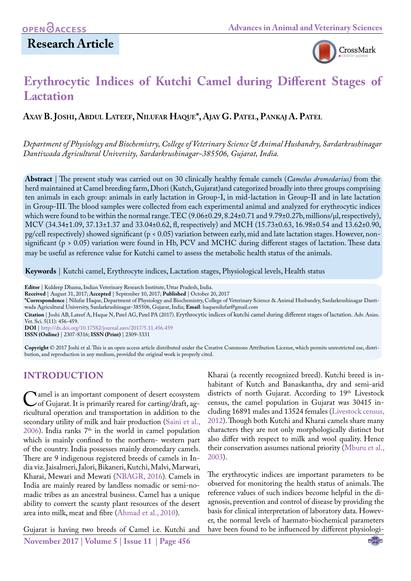# **Research Article**



# **Erythrocytic Indices of Kutchi Camel during Different Stages of Lactation**

# **Axay B. Joshi, Abdul Lateef, Nilufar Haque\*, Ajay G. Patel, Pankaj A. Patel**

*Department of Physiology and Biochemistry, College of Veterinary Science & Animal Husbandry, Sardarkrushinagar Dantiwada Agricultural University, Sardarkrushinagar-385506, Gujarat, India.*

**Abstract** | The present study was carried out on 30 clinically healthy female camels (*Camelus dromedarius)* from the herd maintained at Camel breeding farm, Dhori (Kutch, Gujarat)and categorized broadly into three groups comprising ten animals in each group: animals in early lactation in Group-I, in mid-lactation in Group-II and in late lactation in Group-III. The blood samples were collected from each experimental animal and analyzed for erythrocytic indices which were found to be within the normal range. TEC (9.06±0.29, 8.24±0.71 and 9.79±0.27b, millions/µl, respectively), MCV (34.34±1.09, 37.13±1.37 and 33.04±0.62, fl, respectively) and MCH (15.73±0.63, 16.98±0.54 and 13.62±0.90, pg/cell respectively) showed significant (p < 0.05) variation between early, mid and late lactation stages. However, nonsignificant (p > 0.05) variation were found in Hb, PCV and MCHC during different stages of lactation. These data may be useful as reference value for Kutchi camel to assess the metabolic health status of the animals.

**Keywords** | Kutchi camel, Erythrocyte indices, Lactation stages, Physiological levels, Health status

**Editor** | Kuldeep Dhama, Indian Veterinary Research Institute, Uttar Pradesh, India.

**Received** | August 31, 2017; **Accepted** | September 10, 2017; **Published** | October 20, 2017

**\*Correspondence** | Nilufar Haque, Department of Physiology and Biochemistry, College of Veterinary Science & Animal Husbandry, Sardarkrushinagar Dantiwada Agricultural University, Sardarkrushinagar-385506, Gujarat, India; **Email**: haquenilufar@gmail.com

**Citation** | Joshi AB, Lateef A, Haque N, Patel AG, Patel PA (2017). Erythrocytic indices of kutchi camel during different stages of lactation. Adv. Anim. Vet. Sci. 5(11): 456-459.

**DOI** | <http://dx.doi.org/10.17582/journal.aavs/2017/5.11.456.459> **ISSN (Online)** | 2307-8316; **ISSN (Print)** | 2309-3331

**Copyright** © 2017 Joshi et al. This is an open access article distributed under the Creative Commons Attribution License, which permits unrestricted use, distribution, and reproduction in any medium, provided the original work is properly cited.

# **INTRODUCTION**

Camel is an important component of desert ecosystem<br>
of Gujarat. It is primarily reared for carting/draft, ag-<br>
ricultural operation and transportation in addition to the ricultural operation and transportation in addition to the secondary utility of milk and hair production [\(Saini et al.,](#page-3-0)  [2006](#page-3-0)). India ranks  $7<sup>th</sup>$  in the world in camel population which is mainly confined to the northern- western part of the country. India possesses mainly dromedary camels. There are 9 indigenous registered breeds of camels in India viz. Jaisalmeri, Jalori, Bikaneri, Kutchi, Malvi, Marwari, Kharai, Mewari and Mewati ([NBAGR, 2016](#page-3-1)). Camels in India are mainly reared by landless nomadic or semi-nomadic tribes as an ancestral business. Camel has a unique ability to convert the scanty plant resources of the desert area into milk, meat and fibre ([Ahmad et al., 2010](#page-3-2)).

**November 2017 | Volume 5 | Issue 11 | Page 456** Gujarat is having two breeds of Camel i.e. Kutchi and

Kharai (a recently recognized breed). Kutchi breed is inhabitant of Kutch and Banaskantha, dry and semi-arid districts of north Gujarat. According to 19th Livestock census, the camel population in Gujarat was 30415 including 16891 males and 13524 females ([Livestock census,](#page-3-3) [2012\)](#page-3-3). Though both Kutchi and Kharai camels share many characters they are not only morphologically distinct but also differ with respect to milk and wool quality. Hence their conservation assumes national priority [\(Mburu et al.,](#page-3-4) [2003\)](#page-3-4).

The erythrocytic indices are important parameters to be observed for monitoring the health status of animals. The reference values of such indices become helpful in the diagnosis, prevention and control of disease by providing the basis for clinical interpretation of laboratory data. However, the normal levels of haemato-biochemical parameters have been found to be influenced by different physiologi-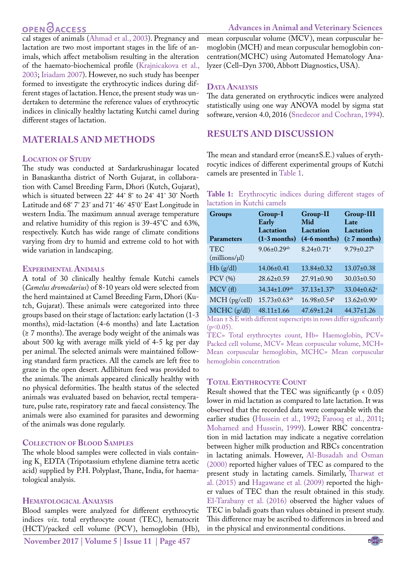# **OPEN**OACCESS

cal stages of animals [\(Ahmad et al., 2003](#page-3-5)). Pregnancy and lactation are two most important stages in the life of animals, which affect metabolism resulting in the alteration of the haemato-biochemical profile [\(Krajnicakova et al.,](#page-3-6) [2003](#page-3-6); [Iriadam 2007](#page-3-7)). However, no such study has beenper formed to investigate the erythrocytic indices during different stages of lactation. Hence, the present study was undertaken to determine the reference values of erythrocytic indices in clinically healthy lactating Kutchi camel during different stages of lactation.

# **MATERIALS AND METHODS**

### **Location of Study**

The study was conducted at Sardarkrushinagar located in Banaskantha district of North Gujarat, in collaboration with Camel Breeding Farm, Dhori (Kutch, Gujarat), which is situated between 22˚ 44˚ 8˚ to 24˚ 41˚ 30˚ North Latitude and 68˚ 7˚ 23˚ and 71˚ 46˚ 45˚0˚ East Longitude in western India. The maximum annual average temperature and relative humidity of this region is 39-45°C and 63%, respectively. Kutch has wide range of climate conditions varying from dry to humid and extreme cold to hot with wide variation in landscaping.

### **Experimental Animals**

A total of 30 clinically healthy female Kutchi camels (*Camelus dromedarius*) of 8-10 years old were selected from the herd maintained at Camel Breeding Farm, Dhori (Kutch, Gujarat). These animals were categorized into three groups based on their stage of lactation: early lactation (1-3 months), mid-lactation (4-6 months) and late Lactation (≥ 7 months). The average body weight of the animals was about 500 kg with average milk yield of 4-5 kg per day per animal. The selected animals were maintained following standard farm practices. All the camels are left free to graze in the open desert. Adlibitum feed was provided to the animals. The animals appeared clinically healthy with no physical deformities. The health status of the selected animals was evaluated based on behavior, rectal temperature, pulse rate, respiratory rate and faecal consistency. The animals were also examined for parasites and deworming of the animals was done regularly.

### **Collection of Blood Samples**

The whole blood samples were collected in vials contain- $\log K_3$  EDTA (Tripotassium ethylene diamine tetra acetic acid) supplied by P.H. Polyplast, Thane, India, for haematological analysis.

### **Hematological Analysis**

Blood samples were analyzed for different erythrocytic indices *viz*. total erythrocyte count (TEC), hematocrit (HCT)/packed cell volume (PCV), hemoglobin (Hb),

mean corpuscular volume (MCV), mean corpuscular hemoglobin (MCH) and mean corpuscular hemoglobin concentration(MCHC) using Automated Hematology Analyzer (Cell–Dyn 3700, Abbott Diagnostics, USA).

### DATA **ANALYSIS**

The data generated on erythrocytic indices were analyzed statistically using one way ANOVA model by sigma stat software, version 4.0, 2016 [\(Snedecor and Cochran, 1994](#page-3-8)).

# **RESULTS AND DISCUSSION**

The mean and standard error (mean±S.E.) values of erythrocytic indices of different experimental groups of Kutchi camels are presented in [Table 1](#page-1-0).

<span id="page-1-0"></span>

| Table 1: Erythrocytic indices during different stages of |  |  |  |
|----------------------------------------------------------|--|--|--|
| lactation in Kutchi camels                               |  |  |  |

| <b>Groups</b><br><b>Parameters</b> | Group-I<br>Early<br>Lactation<br>$(1-3$ months) | Group-II<br>Mid<br>Lactation<br>$(4-6$ months) | <b>Group-III</b><br>Late<br>Lactation<br>$( \ge 7$ months) |
|------------------------------------|-------------------------------------------------|------------------------------------------------|------------------------------------------------------------|
| <b>TEC</b><br>(millions/µl)        | $9.06 \pm 0.29$ <sup>ab</sup>                   | $8.24 \pm 0.71$ <sup>a</sup>                   | $9.79 \pm 0.27$ <sup>b</sup>                               |
| Hb(g/dl)                           | $14.06 \pm 0.41$                                | $13.84 \pm 0.32$                               | $13.07 \pm 0.38$                                           |
| $PCV$ $(\% )$                      | $28.62 \pm 0.59$                                | $27.91 \pm 0.90$                               | $30.03 \pm 0.50$                                           |
| MCV(f)                             | 34.34±1.09 <sup>ab</sup>                        | $37.13 \pm 1.37$ <sup>b</sup>                  | $33.04 \pm 0.62$ <sup>a</sup>                              |
| MCH (pg/cell)                      | $15.73 \pm 0.63$ <sup>ab</sup>                  | $16.98 \pm 0.54^b$                             | $13.62 \pm 0.90^a$                                         |
| MCHC (g/dl)                        | $48.11 \pm 1.66$                                | $47.69 \pm 1.24$                               | $44.37 \pm 1.26$                                           |

Mean ± S.E with different superscripts in rows differ significantly  $(p<0.05)$ .

TEC= Total erythrocytes count, Hb= Haemoglobin, PCV= Packed cell volume, MCV= Mean corpuscular volume, MCH= Mean corpuscular hemoglobin, MCHC= Mean corpuscular hemoglobin concentration

### **Total Erythrocyte Count**

Result showed that the TEC was significantly  $(p < 0.05)$ lower in mid lactation as compared to late lactation. It was observed that the recorded data were comparable with the earlier studies [\(Hussein et al., 1992;](#page-3-9) [Farooq et al., 2011](#page-3-10); Mohamed and Hussein, 1999). Lower RBC concentration in mid lactation may indicate a negative correlation between higher milk production and RBCs concentration in lactating animals. However, [Al-Busadah and Osman](#page-3-11)  [\(2000\)](#page-3-11) reported higher values of TEC as compared to the present study in lactating camels. Similarly, [Tharwat et](#page-3-12)  [al. \(2015\)](#page-3-12) and [Hagawane et al. \(2009\)](#page-3-13) reported the higher values of TEC than the result obtained in this study. [El-Tarabany et al. \(2016\)](#page-3-14) observed the higher values of TEC in baladi goats than values obtained in present study. This difference may be ascribed to differences in breed and in the physical and environmental conditions.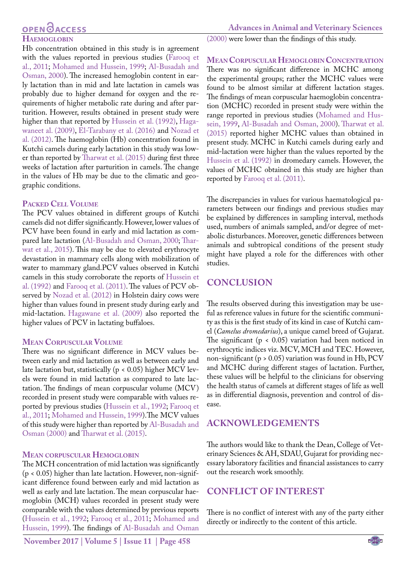#### **Advances in Animal and Veterinary Sciences**

# **OPEN**<sub>d</sub>

### **Haemoglobin**

Hb concentration obtained in this study is in agreement with the values reported in previous studies [\(Farooq et](#page-3-10) [al., 2011](#page-3-10); Mohamed and Hussein, 1999; [Al-Busadah and](#page-3-11) [Osman, 2000](#page-3-11)). The increased hemoglobin content in early lactation than in mid and late lactation in camels was probably due to higher demand for oxygen and the requirements of higher metabolic rate during and after parturition. However, results obtained in present study were higher than that reported by [Hussein et al. \(1992\),](#page-3-9) [Haga](#page-3-13)[waneet al. \(2009\)](#page-3-13), [El-Tarabany et al. \(2016\)](#page-3-14) and [Nozad et](#page-3-15) [al. \(2012\)](#page-3-15). The haemoglobin (Hb) concentration found in Kutchi camels during early lactation in this study was lower than reported by [Tharwat et al. \(2015\)](#page-3-12) during first three weeks of lactation after parturition in camels. The change in the values of Hb may be due to the climatic and geographic conditions.

### **Packed Cell Volume**

The PCV values obtained in different groups of Kutchi camels did not differ significantly. However, lower values of PCV have been found in early and mid lactation as compared late lactation [\(Al-Busadah and Osman, 2000](#page-3-11); [Thar](#page-3-12)[wat et al., 2015\)](#page-3-12). This may be due to elevated erythrocyte devastation in mammary cells along with mobilization of water to mammary gland.PCV values observed in Kutchi camels in this study corroborate the reports of [Hussein et](#page-3-9) [al. \(1992\) a](#page-3-9)nd [Farooq et al. \(2011\).](#page-3-10) The values of PCV observed by [Nozad et al. \(2012\)](#page-3-15) in Holstein dairy cows were higher than values found in present study during early and mid-lactation. [Hagawane et al. \(2009\)](#page-3-13) also reported the higher values of PCV in lactating buffaloes.

### **Mean Corpuscular Volume**

There was no significant difference in MCV values between early and mid lactation as well as between early and late lactation but, statistically (p < 0.05) higher MCV levels were found in mid lactation as compared to late lactation. The findings of mean corpuscular volume (MCV) recorded in present study were comparable with values reported by previous studies [\(Hussein et al., 1992;](#page-3-9) [Farooq et](#page-3-10) [al., 2011;](#page-3-10) Mohamed and Hussein, 1999).The MCV values of this study were higher than reported by [Al-Busadah and](#page-3-11) [Osman \(2000\) a](#page-3-11)nd [Tharwat et al. \(2015\)](#page-3-12).

### **Mean corpuscular Hemoglobin**

The MCH concentration of mid lactation was significantly (p < 0.05) higher than late lactation. However, non-significant difference found between early and mid lactation as well as early and late lactation. The mean corpuscular haemoglobin (MCH) values recorded in present study were comparable with the values determined by previous reports ([Hussein et al., 1992;](#page-3-9) [Farooq et al., 2011](#page-3-10); Mohamed and Hussein, 1999). The findings of [Al-Busadah and Osman](#page-3-11)

[\(2000\)](#page-3-11) were lower than the findings of this study.

**MEAN CORPUSCULAR HEMOGLOBIN CONCENTRATION** There was no significant difference in MCHC among the experimental groups; rather the MCHC values were found to be almost similar at different lactation stages. The findings of mean corpuscular haemoglobin concentration (MCHC) recorded in present study were within the range reported in previous studies (Mohamed and Hussein, 1999, [Al-Busadah and Osman, 2000\)](#page-3-11). [Tharwat et al.](#page-3-12)  [\(2015\)](#page-3-12) reported higher MCHC values than obtained in present study. MCHC in Kutchi camels during early and mid-lactation were higher than the values reported by the [Hussein et al. \(1992\)](#page-3-9) in dromedary camels. However, the values of MCHC obtained in this study are higher than reported by [Farooq et al. \(2011\)](#page-3-10).

The discrepancies in values for various haematological parameters between our findings and previous studies may be explained by differences in sampling interval, methods used, numbers of animals sampled, and/or degree of metabolic disturbances. Moreover, genetic differences between animals and subtropical conditions of the present study might have played a role for the differences with other studies.

# **CONCLUSION**

The results observed during this investigation may be useful as reference values in future for the scientific community as this is the first study of its kind in case of Kutchi camel (*Camelus dromedarius*), a unique camel breed of Gujarat. The significant ( $p < 0.05$ ) variation had been noticed in erythrocytic indices viz. MCV, MCH and TEC. However, non-significant (p > 0.05) variation was found in Hb, PCV and MCHC during different stages of lactation. Further, these values will be helpful to the clinicians for observing the health status of camels at different stages of life as well as in differential diagnosis, prevention and control of disease.

# **ACKNOWLEDGEMENTS**

The authors would like to thank the Dean, College of Veterinary Sciences & AH, SDAU, Gujarat for providing necessary laboratory facilities and financial assistances to carry out the research work smoothly.

# **CONFLICT OF INTEREST**

There is no conflict of interest with any of the party either directly or indirectly to the content of this article.